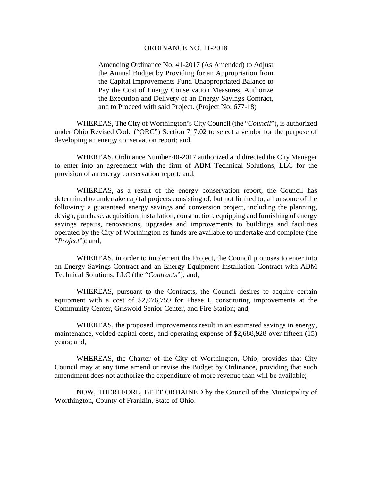## ORDINANCE NO. 11-2018

Amending Ordinance No. 41-2017 (As Amended) to Adjust the Annual Budget by Providing for an Appropriation from the Capital Improvements Fund Unappropriated Balance to Pay the Cost of Energy Conservation Measures, Authorize the Execution and Delivery of an Energy Savings Contract, and to Proceed with said Project. (Project No. 677-18)

WHEREAS, The City of Worthington's City Council (the "*Council*"), is authorized under Ohio Revised Code ("ORC") Section 717.02 to select a vendor for the purpose of developing an energy conservation report; and,

WHEREAS, Ordinance Number 40-2017 authorized and directed the City Manager to enter into an agreement with the firm of ABM Technical Solutions, LLC for the provision of an energy conservation report; and,

WHEREAS, as a result of the energy conservation report, the Council has determined to undertake capital projects consisting of, but not limited to, all or some of the following: a guaranteed energy savings and conversion project, including the planning, design, purchase, acquisition, installation, construction, equipping and furnishing of energy savings repairs, renovations, upgrades and improvements to buildings and facilities operated by the City of Worthington as funds are available to undertake and complete (the "*Project*"); and,

WHEREAS, in order to implement the Project, the Council proposes to enter into an Energy Savings Contract and an Energy Equipment Installation Contract with ABM Technical Solutions, LLC (the "*Contracts*"); and,

WHEREAS, pursuant to the Contracts, the Council desires to acquire certain equipment with a cost of \$2,076,759 for Phase I, constituting improvements at the Community Center, Griswold Senior Center, and Fire Station; and,

WHEREAS, the proposed improvements result in an estimated savings in energy, maintenance, voided capital costs, and operating expense of \$2,688,928 over fifteen (15) years; and,

WHEREAS, the Charter of the City of Worthington, Ohio, provides that City Council may at any time amend or revise the Budget by Ordinance, providing that such amendment does not authorize the expenditure of more revenue than will be available;

 NOW, THEREFORE, BE IT ORDAINED by the Council of the Municipality of Worthington, County of Franklin, State of Ohio: